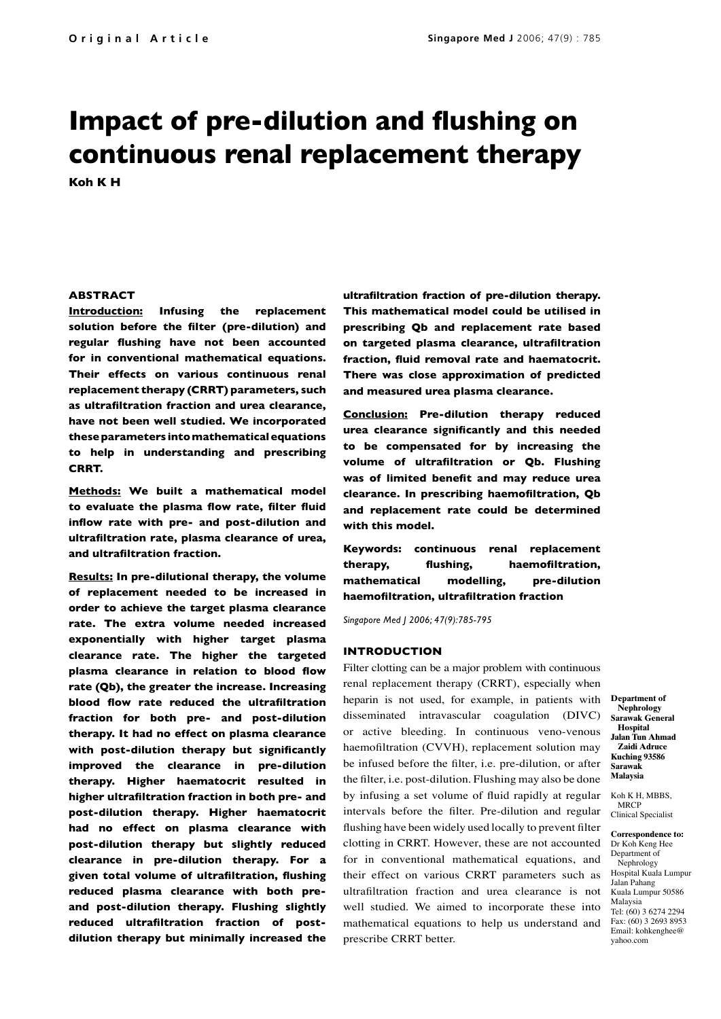# **Impact of pre-dilution and flushing on continuous renal replacement therapy**

**Koh K H**

# **ABSTRACT**

**Introduction: Infusing the replacement solution before the filter (pre-dilution) and regular flushing have not been accounted for in conventional mathematical equations. Their effects on various continuous renal replacement therapy (CRRT) parameters, such as ultrafiltration fraction and urea clearance, have not been well studied. We incorporated these parameters into mathematical equations to help in understanding and prescribing CRRT.**

**Methods: We built a mathematical model to evaluate the plasma flow rate, filter fluid inflow rate with pre- and post-dilution and ultrafiltration rate, plasma clearance of urea, and ultrafiltration fraction.**

**Results: In pre-dilutional therapy, the volume of replacement needed to be increased in order to achieve the target plasma clearance rate. The extra volume needed increased exponentially with higher target plasma clearance rate. The higher the targeted plasma clearance in relation to blood flow rate (Qb), the greater the increase. Increasing blood flow rate reduced the ultrafiltration fraction for both pre- and post-dilution therapy. It had no effect on plasma clearance with post-dilution therapy but significantly improved the clearance in pre-dilution therapy. Higher haematocrit resulted in higher ultrafiltration fraction in both pre- and post-dilution therapy. Higher haematocrit had no effect on plasma clearance with post-dilution therapy but slightly reduced clearance in pre-dilution therapy. For a given total volume of ultrafiltration, flushing reduced plasma clearance with both preand post-dilution therapy. Flushing slightly reduced ultrafiltration fraction of postdilution therapy but minimally increased the**  **ultrafiltration fraction of pre-dilution therapy. This mathematical model could be utilised in prescribing Qb and replacement rate based on targeted plasma clearance, ultrafiltration fraction, fluid removal rate and haematocrit. There was close approximation of predicted and measured urea plasma clearance.**

**Conclusion: Pre-dilution therapy reduced urea clearance significantly and this needed to be compensated for by increasing the volume of ultrafiltration or Qb. Flushing was of limited benefit and may reduce urea clearance. In prescribing haemofiltration, Qb and replacement rate could be determined with this model.**

**Keywords: continuous renal replacement therapy, flushing, haemofiltration, mathematical modelling, pre-dilution haemofiltration, ultrafiltration fraction**

*Singapore Med J 2006; 47(9):785-795*

# **INTRODUCTION**

Filter clotting can be a major problem with continuous renal replacement therapy (CRRT), especially when heparin is not used, for example, in patients with disseminated intravascular coagulation (DIVC) or active bleeding. In continuous veno-venous haemofiltration (CVVH), replacement solution may be infused before the filter, i.e. pre-dilution, or after the filter, i.e. post-dilution. Flushing may also be done by infusing a set volume of fluid rapidly at regular intervals before the filter. Pre-dilution and regular flushing have been widely used locally to prevent filter clotting in CRRT. However, these are not accounted for in conventional mathematical equations, and their effect on various CRRT parameters such as ultrafiltration fraction and urea clearance is not well studied. We aimed to incorporate these into mathematical equations to help us understand and prescribe CRRT better.

**Department of Nephrology Sarawak General Hospital Jalan Tun Ahmad Zaidi Adruce Kuching 93586 Sarawak Malaysia**

Koh K H, MBBS, **MRCP** Clinical Specialist

**Correspondence to:** Dr Koh Keng Hee Department of Nephrology Hospital Kuala Lumpur Jalan Pahang Kuala Lumpur 50586 Malaysia Tel: (60) 3 6274 2294 Fax: (60) 3 2693 8953 Email: kohkenghee@ yahoo.com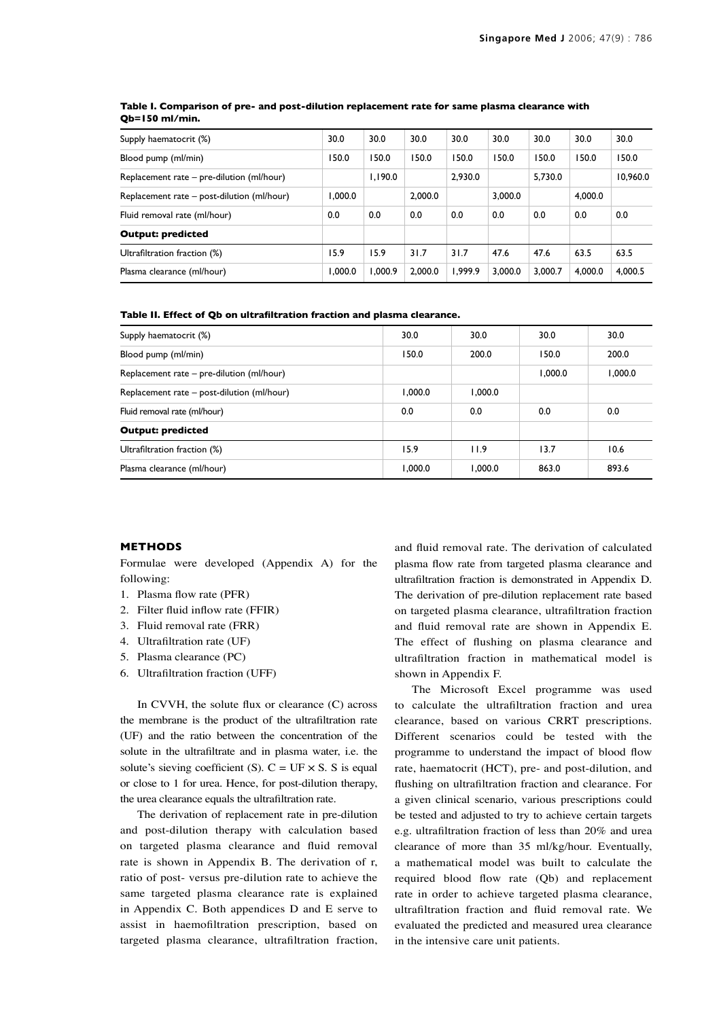| Supply haematocrit (%)                     | 30.0    | 30.0    | 30.0    | 30.0    | 30.0    | 30.0    | 30.0    | 30.0     |
|--------------------------------------------|---------|---------|---------|---------|---------|---------|---------|----------|
| Blood pump (ml/min)                        | 150.0   | 150.0   | 150.0   | 150.0   | 150.0   | 150.0   | 150.0   | 150.0    |
| Replacement rate – pre-dilution (ml/hour)  |         | 1.190.0 |         | 2.930.0 |         | 5.730.0 |         | 10,960.0 |
| Replacement rate – post-dilution (ml/hour) | 1.000.0 |         | 2.000.0 |         | 3,000.0 |         | 4,000.0 |          |
| Fluid removal rate (ml/hour)               | 0.0     | 0.0     | 0.0     | 0.0     | 0.0     | 0.0     | 0.0     | 0.0      |
| <b>Output: predicted</b>                   |         |         |         |         |         |         |         |          |
| Ultrafiltration fraction (%)               | 15.9    | 15.9    | 31.7    | 31.7    | 47.6    | 47.6    | 63.5    | 63.5     |
| Plasma clearance (ml/hour)                 | 1.000.0 | 1.000.9 | 2.000.0 | 1.999.9 | 3.000.0 | 3.000.7 | 4.000.0 | 4.000.5  |

## **Table I. Comparison of pre- and post-dilution replacement rate for same plasma clearance with Qb=150 ml/min.**

**Table II. Effect of Qb on ultrafiltration fraction and plasma clearance.**

| Supply haematocrit (%)                     | 30.0    | 30.0    | 30.0    | 30.0    |
|--------------------------------------------|---------|---------|---------|---------|
| Blood pump (ml/min)                        | 150.0   | 200.0   | 150.0   | 200.0   |
| Replacement rate - pre-dilution (ml/hour)  |         |         | 1.000.0 | 1,000.0 |
| Replacement rate – post-dilution (ml/hour) | 1.000.0 | 1.000.0 |         |         |
| Fluid removal rate (ml/hour)               | 0.0     | 0.0     | 0.0     | 0.0     |
| <b>Output: predicted</b>                   |         |         |         |         |
| Ultrafiltration fraction (%)               | 15.9    | 11.9    | 13.7    | 10.6    |
| Plasma clearance (ml/hour)                 | 1.000.0 | 1.000.0 | 863.0   | 893.6   |

### **METHODS**

Formulae were developed (Appendix A) for the following:

- 1. Plasma flow rate (PFR)
- 2. Filter fluid inflow rate (FFIR)
- 3. Fluid removal rate (FRR)
- 4. Ultrafiltration rate (UF)
- 5. Plasma clearance (PC)
- 6. Ultrafiltration fraction (UFF)

In CVVH, the solute flux or clearance (C) across the membrane is the product of the ultrafiltration rate (UF) and the ratio between the concentration of the solute in the ultrafiltrate and in plasma water, i.e. the solute's sieving coefficient (S).  $C = UF \times S$ . S is equal or close to 1 for urea. Hence, for post-dilution therapy, the urea clearance equals the ultrafiltration rate.

The derivation of replacement rate in pre-dilution and post-dilution therapy with calculation based on targeted plasma clearance and fluid removal rate is shown in Appendix B. The derivation of r, ratio of post- versus pre-dilution rate to achieve the same targeted plasma clearance rate is explained in Appendix C. Both appendices D and E serve to assist in haemofiltration prescription, based on targeted plasma clearance, ultrafiltration fraction,

and fluid removal rate. The derivation of calculated plasma flow rate from targeted plasma clearance and ultrafiltration fraction is demonstrated in Appendix D. The derivation of pre-dilution replacement rate based on targeted plasma clearance, ultrafiltration fraction and fluid removal rate are shown in Appendix E. The effect of flushing on plasma clearance and ultrafiltration fraction in mathematical model is shown in Appendix F.

The Microsoft Excel programme was used to calculate the ultrafiltration fraction and urea clearance, based on various CRRT prescriptions. Different scenarios could be tested with the programme to understand the impact of blood flow rate, haematocrit (HCT), pre- and post-dilution, and flushing on ultrafiltration fraction and clearance. For a given clinical scenario, various prescriptions could be tested and adjusted to try to achieve certain targets e.g. ultrafiltration fraction of less than 20% and urea clearance of more than 35 ml/kg/hour. Eventually, a mathematical model was built to calculate the required blood flow rate (Qb) and replacement rate in order to achieve targeted plasma clearance, ultrafiltration fraction and fluid removal rate. We evaluated the predicted and measured urea clearance in the intensive care unit patients.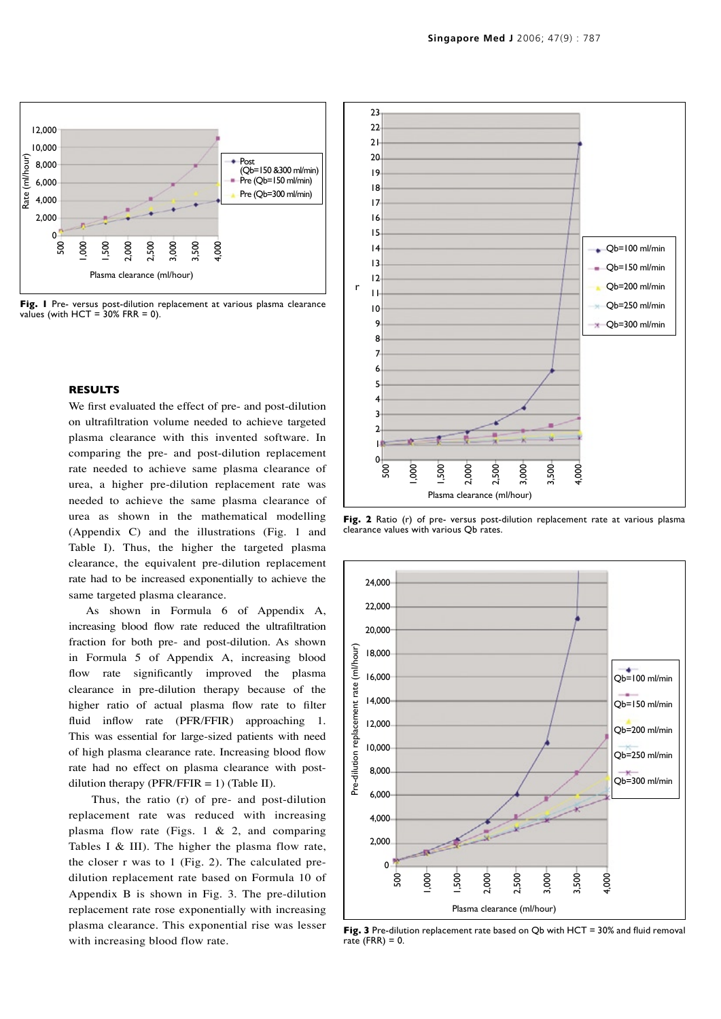

**Fig. 1** Pre- versus post-dilution replacement at various plasma clearance values (with HCT = 30% FRR = 0).

# **RESULTS**

We first evaluated the effect of pre- and post-dilution on ultrafiltration volume needed to achieve targeted plasma clearance with this invented software. In comparing the pre- and post-dilution replacement rate needed to achieve same plasma clearance of urea, a higher pre-dilution replacement rate was needed to achieve the same plasma clearance of urea as shown in the mathematical modelling (Appendix C) and the illustrations (Fig. 1 and Table I). Thus, the higher the targeted plasma clearance, the equivalent pre-dilution replacement rate had to be increased exponentially to achieve the same targeted plasma clearance.

As shown in Formula 6 of Appendix A, increasing blood flow rate reduced the ultrafiltration fraction for both pre- and post-dilution. As shown in Formula 5 of Appendix A, increasing blood flow rate significantly improved the plasma clearance in pre-dilution therapy because of the higher ratio of actual plasma flow rate to filter fluid inflow rate (PFR/FFIR) approaching 1. This was essential for large-sized patients with need of high plasma clearance rate. Increasing blood flow rate had no effect on plasma clearance with postdilution therapy (PFR/FFIR  $= 1$ ) (Table II).

 Thus, the ratio (r) of pre- and post-dilution replacement rate was reduced with increasing plasma flow rate (Figs. 1 & 2, and comparing Tables I & III). The higher the plasma flow rate, the closer r was to 1 (Fig. 2). The calculated predilution replacement rate based on Formula 10 of Appendix B is shown in Fig. 3. The pre-dilution replacement rate rose exponentially with increasing plasma clearance. This exponential rise was lesser with increasing blood flow rate.



**Fig. 2** Ratio (r) of pre- versus post-dilution replacement rate at various plasma clearance values with various Qb rates.



**Fig. 3** Pre-dilution replacement rate based on Qb with HCT = 30% and fluid removal rate  $(FRR) = 0$ .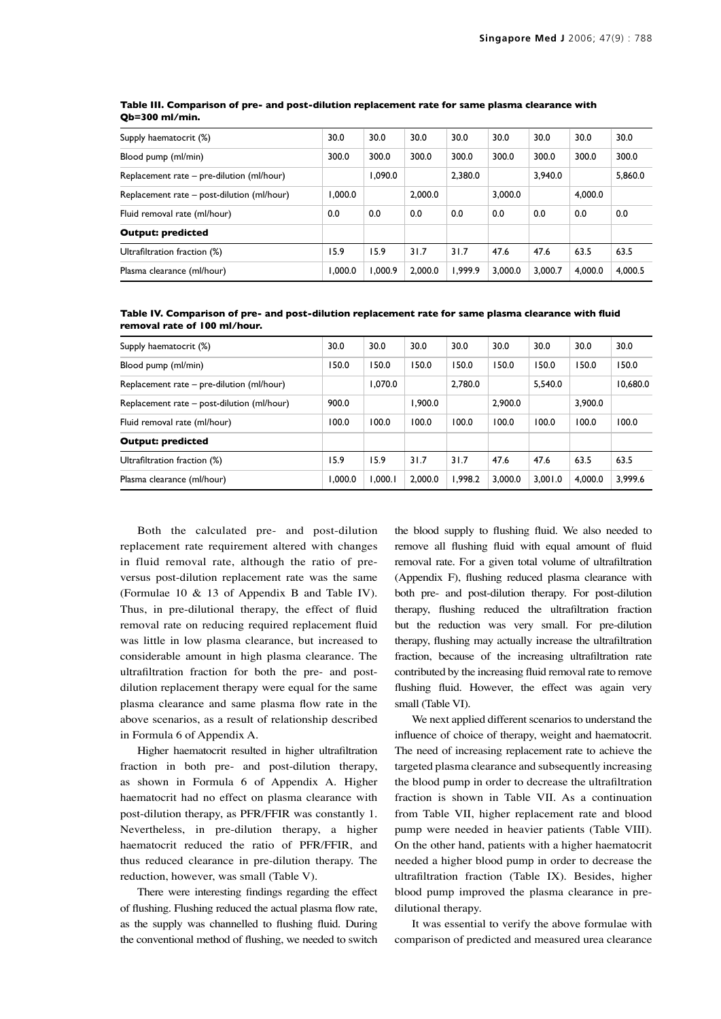| Supply haematocrit (%)                     | 30.0    | 30.0    | 30.0    | 30.0    | 30.0    | 30.0    | 30.0    | 30.0    |
|--------------------------------------------|---------|---------|---------|---------|---------|---------|---------|---------|
| Blood pump (ml/min)                        | 300.0   | 300.0   | 300.0   | 300.0   | 300.0   | 300.0   | 300.0   | 300.0   |
| Replacement rate - pre-dilution (ml/hour)  |         | 1.090.0 |         | 2.380.0 |         | 3.940.0 |         | 5,860.0 |
| Replacement rate - post-dilution (ml/hour) | 1.000.0 |         | 2.000.0 |         | 3.000.0 |         | 4,000.0 |         |
| Fluid removal rate (ml/hour)               | 0.0     | 0.0     | 0.0     | 0.0     | 0.0     | 0.0     | 0.0     | 0.0     |
| <b>Output: predicted</b>                   |         |         |         |         |         |         |         |         |
| Ultrafiltration fraction (%)               | 15.9    | 15.9    | 31.7    | 31.7    | 47.6    | 47.6    | 63.5    | 63.5    |
| Plasma clearance (ml/hour)                 | 1.000.0 | 0.000.9 | 2.000.0 | 1.999.9 | 3.000.0 | 3.000.7 | 4.000.0 | 4,000.5 |

**Table III. Comparison of pre- and post-dilution replacement rate for same plasma clearance with Qb=300 ml/min.**

**Table IV. Comparison of pre- and post-dilution replacement rate for same plasma clearance with fluid removal rate of 100 ml/hour.**

| Supply haematocrit (%)                     | 30.0    | 30.0    | 30.0    | 30.0    | 30.0    | 30.0    | 30.0    | 30.0     |
|--------------------------------------------|---------|---------|---------|---------|---------|---------|---------|----------|
| Blood pump (ml/min)                        | 150.0   | 150.0   | 150.0   | 150.0   | 150.0   | 150.0   | 150.0   | 150.0    |
| Replacement rate – pre-dilution (ml/hour)  |         | 1,070.0 |         | 2,780.0 |         | 5,540.0 |         | 10,680.0 |
| Replacement rate - post-dilution (ml/hour) | 900.0   |         | 1.900.0 |         | 2,900.0 |         | 3.900.0 |          |
| Fluid removal rate (ml/hour)               | 100.0   | 100.0   | 100.0   | 100.0   | 100.0   | 100.0   | 100.0   | 100.0    |
| <b>Output: predicted</b>                   |         |         |         |         |         |         |         |          |
| Ultrafiltration fraction (%)               | 15.9    | 15.9    | 31.7    | 31.7    | 47.6    | 47.6    | 63.5    | 63.5     |
| Plasma clearance (ml/hour)                 | 1.000.0 | 1,000.1 | 2.000.0 | 1.998.2 | 3.000.0 | 3.001.0 | 4.000.0 | 3,999.6  |

Both the calculated pre- and post-dilution replacement rate requirement altered with changes in fluid removal rate, although the ratio of preversus post-dilution replacement rate was the same (Formulae 10 & 13 of Appendix B and Table IV). Thus, in pre-dilutional therapy, the effect of fluid removal rate on reducing required replacement fluid was little in low plasma clearance, but increased to considerable amount in high plasma clearance. The ultrafiltration fraction for both the pre- and postdilution replacement therapy were equal for the same plasma clearance and same plasma flow rate in the above scenarios, as a result of relationship described in Formula 6 of Appendix A.

Higher haematocrit resulted in higher ultrafiltration fraction in both pre- and post-dilution therapy, as shown in Formula 6 of Appendix A. Higher haematocrit had no effect on plasma clearance with post-dilution therapy, as PFR/FFIR was constantly 1. Nevertheless, in pre-dilution therapy, a higher haematocrit reduced the ratio of PFR/FFIR, and thus reduced clearance in pre-dilution therapy. The reduction, however, was small (Table V).

There were interesting findings regarding the effect of flushing. Flushing reduced the actual plasma flow rate, as the supply was channelled to flushing fluid. During the conventional method of flushing, we needed to switch the blood supply to flushing fluid. We also needed to remove all flushing fluid with equal amount of fluid removal rate. For a given total volume of ultrafiltration (Appendix F), flushing reduced plasma clearance with both pre- and post-dilution therapy. For post-dilution therapy, flushing reduced the ultrafiltration fraction but the reduction was very small. For pre-dilution therapy, flushing may actually increase the ultrafiltration fraction, because of the increasing ultrafiltration rate contributed by the increasing fluid removal rate to remove flushing fluid. However, the effect was again very small (Table VI).

We next applied different scenarios to understand the influence of choice of therapy, weight and haematocrit. The need of increasing replacement rate to achieve the targeted plasma clearance and subsequently increasing the blood pump in order to decrease the ultrafiltration fraction is shown in Table VII. As a continuation from Table VII, higher replacement rate and blood pump were needed in heavier patients (Table VIII). On the other hand, patients with a higher haematocrit needed a higher blood pump in order to decrease the ultrafiltration fraction (Table IX). Besides, higher blood pump improved the plasma clearance in predilutional therapy.

It was essential to verify the above formulae with comparison of predicted and measured urea clearance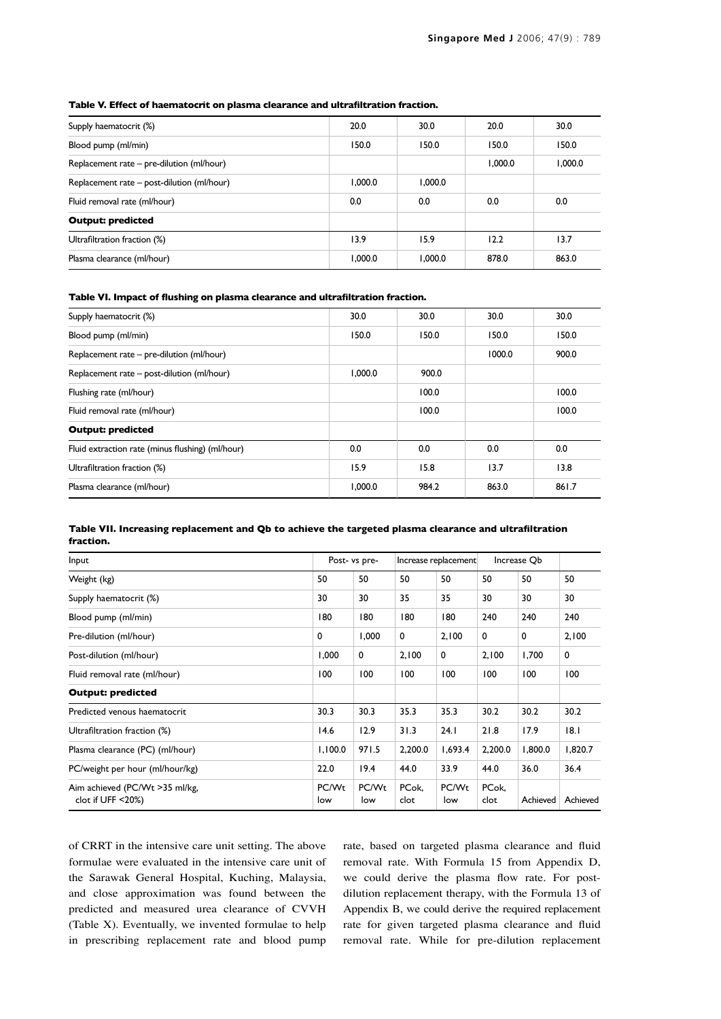| Supply haematocrit (%)                     | 20.0    | 30.0    | 20.0    | 30.0    |
|--------------------------------------------|---------|---------|---------|---------|
| Blood pump (ml/min)                        | 150.0   | 150.0   | 150.0   | 150.0   |
| Replacement rate - pre-dilution (ml/hour)  |         |         | 1.000.0 | 1.000.0 |
| Replacement rate - post-dilution (ml/hour) | 1.000.0 | 1,000.0 |         |         |
| Fluid removal rate (ml/hour)               | 0.0     | 0.0     | 0.0     | 0.0     |
| <b>Output: predicted</b>                   |         |         |         |         |
| Ultrafiltration fraction (%)               | 13.9    | 15.9    | 12.2    | 13.7    |
| Plasma clearance (ml/hour)                 | 1.000.0 | 1.000.0 | 878.0   | 863.0   |

**Table V. Effect of haematocrit on plasma clearance and ultrafiltration fraction.**

# **Table VI. Impact of flushing on plasma clearance and ultrafiltration fraction.**

| Supply haematocrit (%)                           | 30.0    | 30.0  | 30.0   | 30.0  |
|--------------------------------------------------|---------|-------|--------|-------|
| Blood pump (ml/min)                              | 150.0   | 150.0 | 150.0  | 150.0 |
| Replacement rate - pre-dilution (ml/hour)        |         |       | 1000.0 | 900.0 |
| Replacement rate - post-dilution (ml/hour)       | 1.000.0 | 900.0 |        |       |
| Flushing rate (ml/hour)                          |         | 100.0 |        | 100.0 |
| Fluid removal rate (ml/hour)                     |         | 100.0 |        | 100.0 |
| <b>Output: predicted</b>                         |         |       |        |       |
| Fluid extraction rate (minus flushing) (ml/hour) | 0.0     | 0.0   | 0.0    | 0.0   |
| Ultrafiltration fraction (%)                     | 15.9    | 15.8  | 13.7   | 13.8  |
| Plasma clearance (ml/hour)                       | 1,000.0 | 984.2 | 863.0  | 861.7 |

## **Table VII. Increasing replacement and Qb to achieve the targeted plasma clearance and ultrafiltration fraction.**

| Input                                               |              | Post- vs pre- | Increase replacement |              |               | Increase Qb |          |
|-----------------------------------------------------|--------------|---------------|----------------------|--------------|---------------|-------------|----------|
| Weight (kg)                                         | 50           | 50            | 50                   | 50           | 50            | 50          | 50       |
| Supply haematocrit (%)                              | 30           | 30            | 35                   | 35           | 30            | 30          | 30       |
| Blood pump (ml/min)                                 | 180          | 180           | 180                  | 180          | 240           | 240         | 240      |
| Pre-dilution (ml/hour)                              | 0            | 1,000         | 0                    | 2,100        | 0             | 0           | 2,100    |
| Post-dilution (ml/hour)                             | 1,000        | 0             | 2,100                | 0            | 2,100         | 1,700       | 0        |
| Fluid removal rate (ml/hour)                        | 100          | 100           | 100                  | 100          | 100           | 100         | 100      |
| <b>Output: predicted</b>                            |              |               |                      |              |               |             |          |
| Predicted venous haematocrit                        | 30.3         | 30.3          | 35.3                 | 35.3         | 30.2          | 30.2        | 30.2     |
| Ultrafiltration fraction (%)                        | 14.6         | 12.9          | 31.3                 | 24.1         | 21.8          | 17.9        | 8.1      |
| Plasma clearance (PC) (ml/hour)                     | 1,100.0      | 971.5         | 2,200.0              | 1,693.4      | 2,200.0       | 1,800.0     | 1,820.7  |
| PC/weight per hour (ml/hour/kg)                     | 22.0         | 19.4          | 44.0                 | 33.9         | 44.0          | 36.0        | 36.4     |
| Aim achieved (PC/Wt >35 ml/kg,<br>clot if UFF <20%) | PC/Wt<br>low | PC/Wt<br>low  | PCok,<br>clot        | PC/Wt<br>low | PCok,<br>clot | Achieved    | Achieved |

of CRRT in the intensive care unit setting. The above formulae were evaluated in the intensive care unit of the Sarawak General Hospital, Kuching, Malaysia, and close approximation was found between the predicted and measured urea clearance of CVVH (Table X). Eventually, we invented formulae to help in prescribing replacement rate and blood pump

rate, based on targeted plasma clearance and fluid removal rate. With Formula 15 from Appendix D, we could derive the plasma flow rate. For postdilution replacement therapy, with the Formula 13 of Appendix B, we could derive the required replacement rate for given targeted plasma clearance and fluid removal rate. While for pre-dilution replacement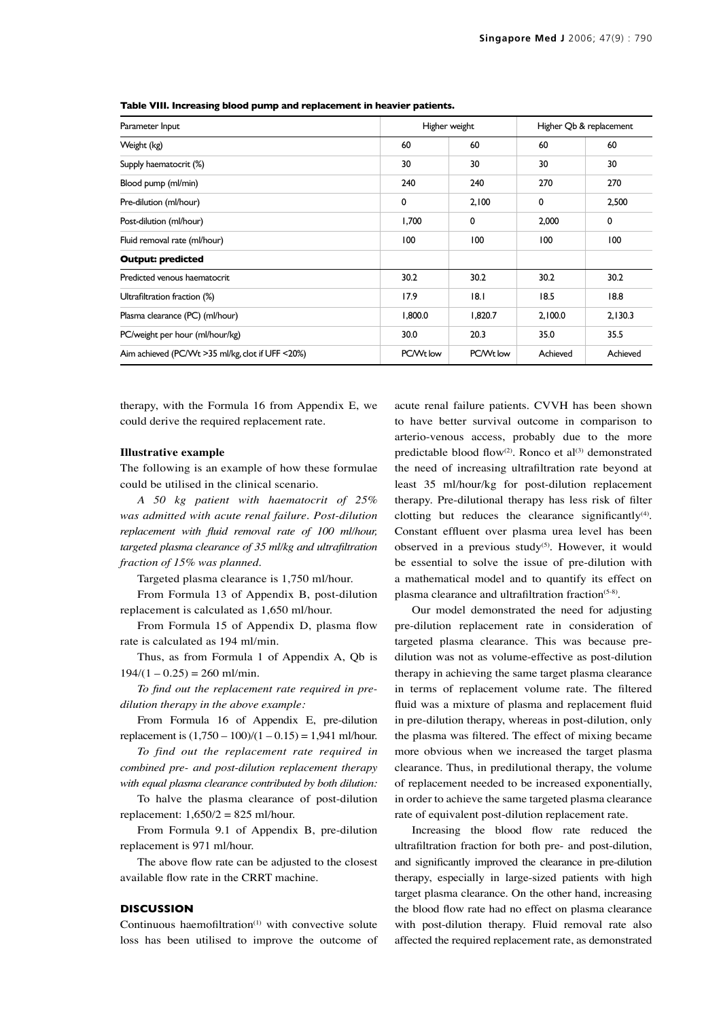| Parameter Input                                  | Higher weight |           |          | Higher Qb & replacement |
|--------------------------------------------------|---------------|-----------|----------|-------------------------|
| Weight (kg)                                      | 60            | 60        | 60       | 60                      |
| Supply haematocrit (%)                           | 30            | 30        | 30       | 30                      |
| Blood pump (ml/min)                              | 240           | 240       | 270      | 270                     |
| Pre-dilution (ml/hour)                           | 0             | 2,100     | 0        | 2,500                   |
| Post-dilution (ml/hour)                          | 1,700         | 0         | 2,000    | 0                       |
| Fluid removal rate (ml/hour)                     | 100           | 100       | 100      | 100                     |
| <b>Output: predicted</b>                         |               |           |          |                         |
| Predicted venous haematocrit                     | 30.2          | 30.2      | 30.2     | 30.2                    |
| Ultrafiltration fraction (%)                     | 17.9          | 8.1       | 18.5     | 18.8                    |
| Plasma clearance (PC) (ml/hour)                  | 1,800.0       | 1,820.7   | 2,100.0  | 2,130.3                 |
| PC/weight per hour (ml/hour/kg)                  | 30.0          | 20.3      | 35.0     | 35.5                    |
| Aim achieved (PC/Wt >35 ml/kg, clot if UFF <20%) | PC/Wt low     | PC/Wt low | Achieved | Achieved                |

**Table VIII. Increasing blood pump and replacement in heavier patients.**

therapy, with the Formula 16 from Appendix E, we could derive the required replacement rate.

#### **Illustrative example**

The following is an example of how these formulae could be utilised in the clinical scenario.

*A 50 kg patient with haematocrit of 25% was admitted with acute renal failure. Post-dilution replacement with fluid removal rate of 100 ml/hour, targeted plasma clearance of 35 ml/kg and ultrafiltration fraction of 15% was planned.*

Targeted plasma clearance is 1,750 ml/hour.

From Formula 13 of Appendix B, post-dilution replacement is calculated as 1,650 ml/hour.

From Formula 15 of Appendix D, plasma flow rate is calculated as 194 ml/min.

Thus, as from Formula 1 of Appendix A, Qb is  $194/(1 - 0.25) = 260$  ml/min.

*To find out the replacement rate required in predilution therapy in the above example:*

From Formula 16 of Appendix E, pre-dilution replacement is  $(1,750 - 100)/(1 - 0.15) = 1,941$  ml/hour.

*To find out the replacement rate required in combined pre- and post-dilution replacement therapy with equal plasma clearance contributed by both dilution:*

To halve the plasma clearance of post-dilution replacement:  $1,650/2 = 825$  ml/hour.

From Formula 9.1 of Appendix B, pre-dilution replacement is 971 ml/hour.

The above flow rate can be adjusted to the closest available flow rate in the CRRT machine.

# **DISCUSSION**

Continuous haemofiltration $(1)$  with convective solute loss has been utilised to improve the outcome of acute renal failure patients. CVVH has been shown to have better survival outcome in comparison to arterio-venous access, probably due to the more predictable blood flow<sup>(2)</sup>. Ronco et al<sup>(3)</sup> demonstrated the need of increasing ultrafiltration rate beyond at least 35 ml/hour/kg for post-dilution replacement therapy. Pre-dilutional therapy has less risk of filter clotting but reduces the clearance significantly $(4)$ . Constant effluent over plasma urea level has been observed in a previous study<sup>(5)</sup>. However, it would be essential to solve the issue of pre-dilution with a mathematical model and to quantify its effect on plasma clearance and ultrafiltration fraction(5-8).

Our model demonstrated the need for adjusting pre-dilution replacement rate in consideration of targeted plasma clearance. This was because predilution was not as volume-effective as post-dilution therapy in achieving the same target plasma clearance in terms of replacement volume rate. The filtered fluid was a mixture of plasma and replacement fluid in pre-dilution therapy, whereas in post-dilution, only the plasma was filtered. The effect of mixing became more obvious when we increased the target plasma clearance. Thus, in predilutional therapy, the volume of replacement needed to be increased exponentially, in order to achieve the same targeted plasma clearance rate of equivalent post-dilution replacement rate.

Increasing the blood flow rate reduced the ultrafiltration fraction for both pre- and post-dilution, and significantly improved the clearance in pre-dilution therapy, especially in large-sized patients with high target plasma clearance. On the other hand, increasing the blood flow rate had no effect on plasma clearance with post-dilution therapy. Fluid removal rate also affected the required replacement rate, as demonstrated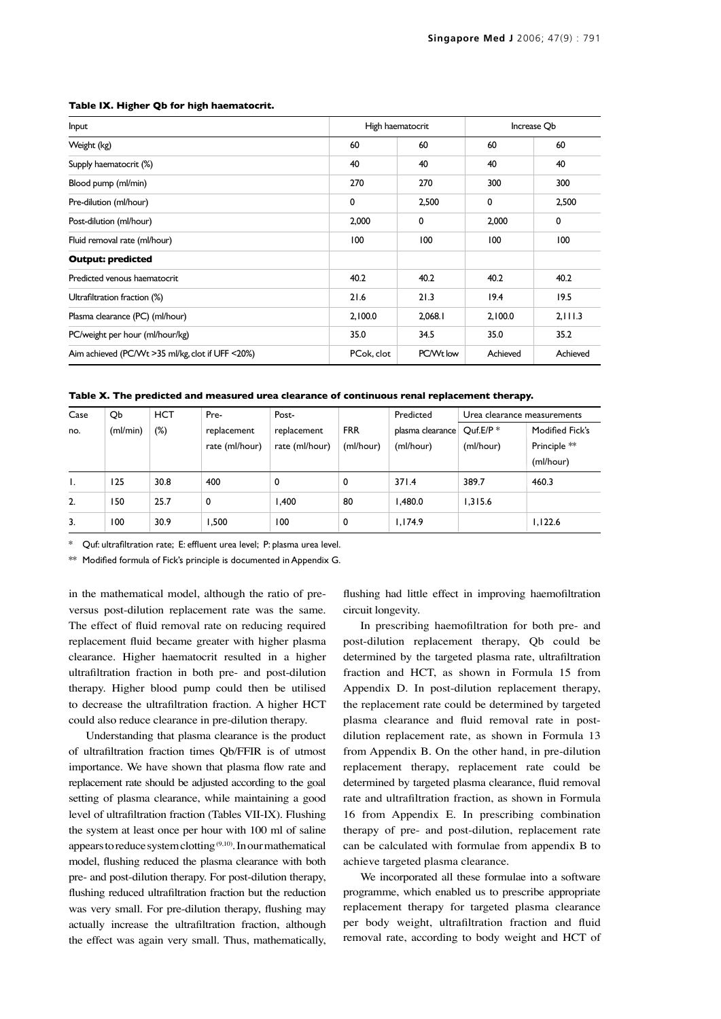| Input                                            |            | High haematocrit | Increase Ob |          |
|--------------------------------------------------|------------|------------------|-------------|----------|
| Weight (kg)                                      | 60         | 60               | 60          | 60       |
| Supply haematocrit (%)                           | 40         | 40               | 40          | 40       |
| Blood pump (ml/min)                              | 270        | 270              | 300         | 300      |
| Pre-dilution (ml/hour)                           | 0          | 2,500            | 0           | 2,500    |
| Post-dilution (ml/hour)                          | 2,000      | 0                | 2,000       | 0        |
| Fluid removal rate (ml/hour)                     | 100        | 100              | 100         | 100      |
| <b>Output: predicted</b>                         |            |                  |             |          |
| Predicted venous haematocrit                     | 40.2       | 40.2             | 40.2        | 40.2     |
| Ultrafiltration fraction (%)                     | 21.6       | 21.3             | 19.4        | 19.5     |
| Plasma clearance (PC) (ml/hour)                  | 2,100.0    | 2,068.1          | 2,100.0     | 2,111.3  |
| PC/weight per hour (ml/hour/kg)                  | 35.0       | 34.5             | 35.0        | 35.2     |
| Aim achieved (PC/Wt >35 ml/kg, clot if UFF <20%) | PCok, clot | PC/Wt low        | Achieved    | Achieved |

#### **Table IX. Higher Qb for high haematocrit.**

**Table X. The predicted and measured urea clearance of continuous renal replacement therapy.**

| Case             | Qb       | <b>HCT</b> | Pre-           | Post-          |            | Predicted        | Urea clearance measurements |                 |
|------------------|----------|------------|----------------|----------------|------------|------------------|-----------------------------|-----------------|
| no.              | (ml/min) | $(\%)$     | replacement    | replacement    | <b>FRR</b> | plasma clearance | $Quf.E/P$ *                 | Modified Fick's |
|                  |          |            | rate (ml/hour) | rate (ml/hour) | (ml/hour)  | (ml/hour)        | (ml/hour)                   | Principle **    |
|                  |          |            |                |                |            |                  |                             | (ml/hour)       |
| Τ.               | 125      | 30.8       | 400            | 0              | 0          | 371.4            | 389.7                       | 460.3           |
| $\overline{2}$ . | 150      | 25.7       | 0              | 1.400          | 80         | 9.0.480.         | 1,315.6                     |                 |
| 3.               | 100      | 30.9       | 1.500          | 100            | 0          | 1,174.9          |                             | 1,122.6         |

\* Quf: ultrafiltration rate; E: effluent urea level; P: plasma urea level.

\*\* Modified formula of Fick's principle is documented in Appendix G.

in the mathematical model, although the ratio of preversus post-dilution replacement rate was the same. The effect of fluid removal rate on reducing required replacement fluid became greater with higher plasma clearance. Higher haematocrit resulted in a higher ultrafiltration fraction in both pre- and post-dilution therapy. Higher blood pump could then be utilised to decrease the ultrafiltration fraction. A higher HCT could also reduce clearance in pre-dilution therapy.

Understanding that plasma clearance is the product of ultrafiltration fraction times Qb/FFIR is of utmost importance. We have shown that plasma flow rate and replacement rate should be adjusted according to the goal setting of plasma clearance, while maintaining a good level of ultrafiltration fraction (Tables VII-IX). Flushing the system at least once per hour with 100 ml of saline appears to reduce system clotting  $(9,10)$ . In our mathematical model, flushing reduced the plasma clearance with both pre- and post-dilution therapy. For post-dilution therapy, flushing reduced ultrafiltration fraction but the reduction was very small. For pre-dilution therapy, flushing may actually increase the ultrafiltration fraction, although the effect was again very small. Thus, mathematically,

flushing had little effect in improving haemofiltration circuit longevity.

In prescribing haemofiltration for both pre- and post-dilution replacement therapy, Qb could be determined by the targeted plasma rate, ultrafiltration fraction and HCT, as shown in Formula 15 from Appendix D. In post-dilution replacement therapy, the replacement rate could be determined by targeted plasma clearance and fluid removal rate in postdilution replacement rate, as shown in Formula 13 from Appendix B. On the other hand, in pre-dilution replacement therapy, replacement rate could be determined by targeted plasma clearance, fluid removal rate and ultrafiltration fraction, as shown in Formula 16 from Appendix E. In prescribing combination therapy of pre- and post-dilution, replacement rate can be calculated with formulae from appendix B to achieve targeted plasma clearance.

We incorporated all these formulae into a software programme, which enabled us to prescribe appropriate replacement therapy for targeted plasma clearance per body weight, ultrafiltration fraction and fluid removal rate, according to body weight and HCT of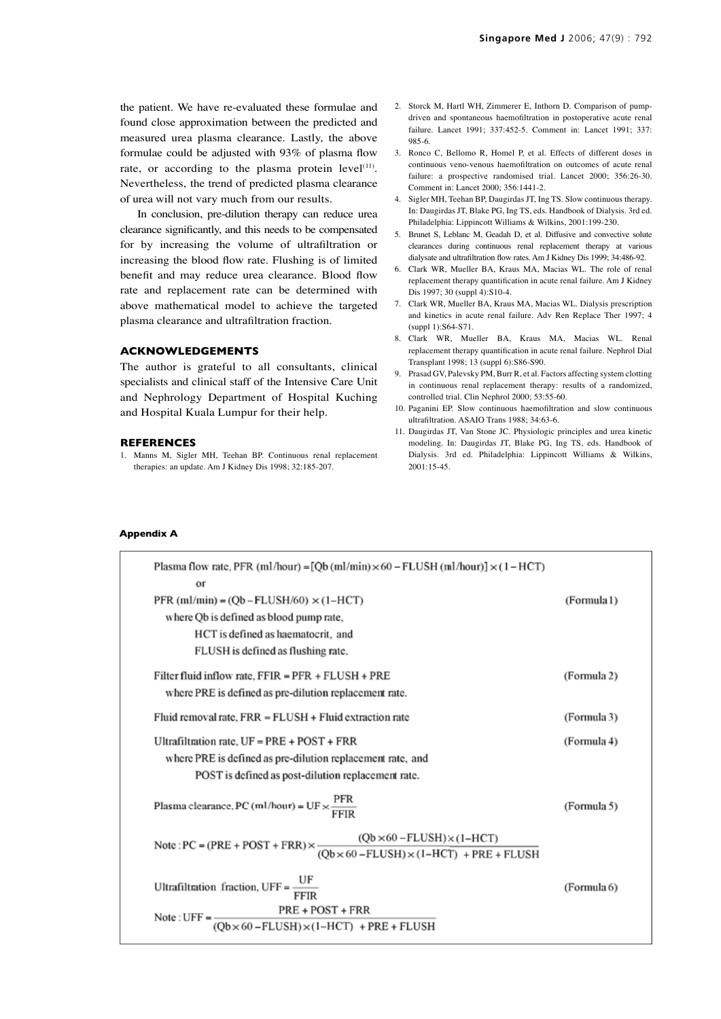the patient. We have re-evaluated these formulae and found close approximation between the predicted and measured urea plasma clearance. Lastly, the above formulae could be adjusted with  $93\%$  of plasma flow rate, or according to the plasma protein level $(11)$ . Nevertheless, the trend of predicted plasma clearance of urea will not vary much from our results.

In conclusion, pre-dilution therapy can reduce urea clearance significantly, and this needs to be compensated for by increasing the volume of ultrafiltration or increasing the blood flow rate. Flushing is of limited benefit and may reduce urea clearance. Blood flow rate and replacement rate can be determined with above mathematical model to achieve the targeted plasma clearance and ultrafiltration fraction.

# **ACKNOWLEDGEMENTS**

The author is grateful to all consultants, clinical specialists and clinical staff of the Intensive Care Unit and Nephrology Department of Hospital Kuching and Hospital Kuala Lumpur for their help.

#### **REFERENCES**

1. Manns M, Sigler MH, Teehan BP. Continuous renal replacement therapies: an update. Am J Kidney Dis 1998; 32:185-207.

- 2. Storck M, Hartl WH, Zimmerer E, Inthorn D. Comparison of pumpdriven and spontaneous haemofiltration in postoperative acute renal failure. Lancet 1991; 337:452-5. Comment in: Lancet 1991; 337: 985-6.
- 3. Ronco C, Bellomo R, Homel P, et al. Effects of different doses in continuous veno-venous haemofiltration on outcomes of acute renal failure: a prospective randomised trial. Lancet 2000; 356:26-30. Comment in: Lancet 2000; 356:1441-2.
- 4. Sigler MH, Teehan BP, Daugirdas JT, Ing TS. Slow continuous therapy. In: Daugirdas JT, Blake PG, Ing TS, eds. Handbook of Dialysis. 3rd ed. Philadelphia: Lippincott Williams & Wilkins, 2001:199-230.
- 5. Brunet S, Leblanc M, Geadah D, et al. Diffusive and convective solute clearances during continuous renal replacement therapy at various dialysate and ultrafiltration flow rates. Am J Kidney Dis 1999; 34:486-92.
- 6. Clark WR, Mueller BA, Kraus MA, Macias WL. The role of renal replacement therapy quantification in acute renal failure. Am J Kidney Dis 1997; 30 (suppl 4):S10-4.
- 7. Clark WR, Mueller BA, Kraus MA, Macias WL. Dialysis prescription and kinetics in acute renal failure. Adv Ren Replace Ther 1997; 4 (suppl 1):S64-S71.
- 8. Clark WR, Mueller BA, Kraus MA, Macias WL. Renal replacement therapy quantification in acute renal failure. Nephrol Dial Transplant 1998; 13 (suppl 6):S86-S90.
- 9. Prasad GV, Palevsky PM, Burr R, et al. Factors affecting system clotting in continuous renal replacement therapy: results of a randomized, controlled trial. Clin Nephrol 2000; 53:55-60.
- 10. Paganini EP. Slow continuous haemofiltration and slow continuous ultrafiltration. ASAIO Trans 1988: 34:63-6.
- 11. Daugirdas JT, Van Stone JC. Physiologic principles and urea kinetic modeling. In: Daugirdas JT, Blake PG, Ing TS, eds. Handbook of Dialysis. 3rd ed. Philadelphia: Lippincott Williams & Wilkins,  $2001:15-45$

# **Appendix A**

| Plasma flow rate, PFR (ml/hour) = [Qb (ml/min) $\times$ 60 – FLUSH (ml/hour)] $\times$ (1 – HCT)                                             |             |
|----------------------------------------------------------------------------------------------------------------------------------------------|-------------|
| ог                                                                                                                                           |             |
| $PFR$ (ml/min) = (Ob – FLUSH/60) $\times$ (1–HCT)                                                                                            | (Formula 1) |
| where Qb is defined as blood pump rate,                                                                                                      |             |
| HCT is defined as haematocrit, and                                                                                                           |             |
| FLUSH is defined as flushing rate.                                                                                                           |             |
| Filter fluid inflow rate, FFIR = PFR + FLUSH + PRE                                                                                           | (Formula 2) |
| where PRE is defined as pre-dilution replacement rate.                                                                                       |             |
| Fluid removal rate, FRR = FLUSH + Fluid extraction rate                                                                                      | (Formula 3) |
| Ultrafiltration rate, UF = PRE + POST + FRR                                                                                                  | (Formula 4) |
| where PRE is defined as pre-dilution replacement rate, and                                                                                   |             |
| POST is defined as post-dilution replacement rate.                                                                                           |             |
| Plasma clearance, PC (ml/hour) = $UF \times \frac{PFR}{FFIR}$                                                                                | (Formula 5) |
| Note: $PC = (PRE + POST + FRR) \times \frac{(Qb \times 60 - FLUSH) \times (1 - HCT)}{(Qb \times 60 - FLUSH) \times (1 - HCT) + PRE + FLUSH}$ |             |
| Ultrafiltration fraction, UFF = $\frac{\text{UF}}{\text{FFIR}}$                                                                              | (Formula 6) |
| Note: UFF = $\frac{PRE + POST + FRR}{(Qb \times 60 - FLUSH) \times (1 - HCT) + PRE + FLUSH}$                                                 |             |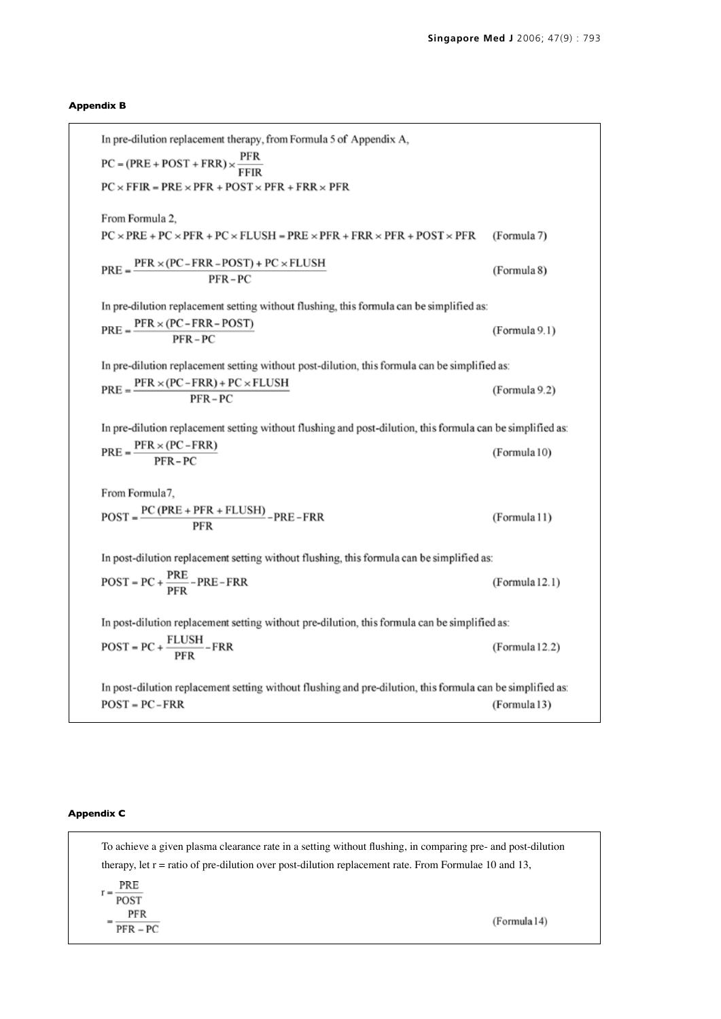# **Appendix B**

| In pre-dilution replacement therapy, from Formula 5 of Appendix A,<br>$PC = (PRE + POST + FRR) \times \frac{PFR}{FFIR}$<br>$PC \times FFIR = PRE \times PFR + POST \times PFR + FRR \times PFR$ |                |
|-------------------------------------------------------------------------------------------------------------------------------------------------------------------------------------------------|----------------|
| From Formula 2,<br>$PC \times PRE + PC \times PFR + PC \times FLUSH = PRE \times PFR + FRR \times PFR + POST \times PFR$                                                                        | (Formula 7)    |
| $PRE = \frac{PFR \times (PC - FRR - POST) + PC \times FLUSH}{PFR - PC}$                                                                                                                         | (Formula 8)    |
| In pre-dilution replacement setting without flushing, this formula can be simplified as:<br>$PRE = \frac{PFR \times (PC - FRR - POST)}{PFR - PC}$                                               | (Formula 9.1)  |
| In pre-dilution replacement setting without post-dilution, this formula can be simplified as:<br>$PRE = \frac{PRE \times (PC - FRR) + PC \times FLUSH}{PFR - PC}$                               | (Formula 9.2)  |
| In pre-dilution replacement setting without flushing and post-dilution, this formula can be simplified as:<br>$PRE = \frac{PFR \times (PC - FRR)}{PFR - PC}$                                    | (Formula 10)   |
| From Formula7,<br>$POST = \frac{PC (PRE + PFR + FLUSH)}{PFR} - PRE - FRR$                                                                                                                       | (Formula 11)   |
| In post-dilution replacement setting without flushing, this formula can be simplified as:<br>$POST = PC + \frac{PRE}{PER} - PRE - FRR$                                                          | (Formula 12.1) |
| In post-dilution replacement setting without pre-dilution, this formula can be simplified as:<br>$POST = PC + \frac{FLUSH}{PER} - FRR$                                                          | (Formula 12.2) |
| In post-dilution replacement setting without flushing and pre-dilution, this formula can be simplified as:<br>$POST = PC - FRR$                                                                 | (Formula 13)   |

# **Appendix C**

To achieve a given plasma clearance rate in a setting without flushing, in comparing pre- and post-dilution therapy, let r = ratio of pre-dilution over post-dilution replacement rate. From Formulae 10 and 13,

$$
r = \frac{PRE}{POST}
$$

$$
= \frac{PFR}{PFR - PC}
$$

(Formula 14)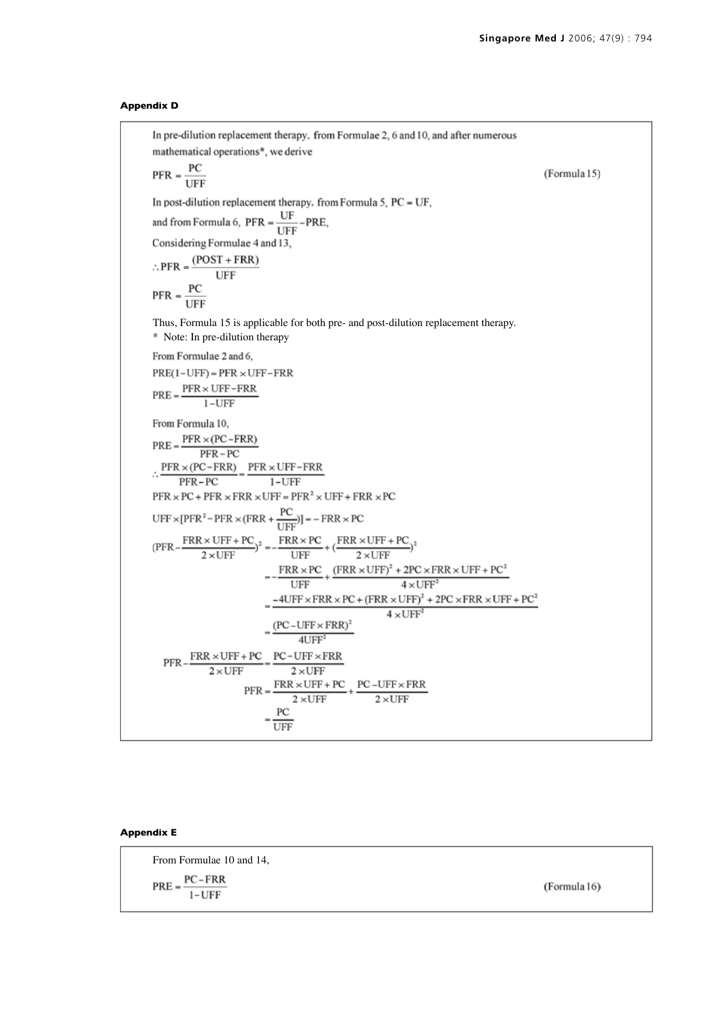# **Appendix D**

In pre-dilution replacement therapy, from Formulae 2, 6 and 10, and after numerous mathematical operations\*, we derive  $PFR = \frac{PC}{UFF}$ (Formula 15) In post-dilution replacement therapy, from Formula 5,  $PC = UF$ , and from Formula 6, PFR =  $\frac{\text{UF}}{\text{UFF}}$  – PRE, Considering Formulae 4 and 13,  $\therefore \text{PFR} = \frac{(\text{POST} + \text{FRR})}{\text{UFF}}$  $PFR = \frac{PC}{UFF}$ Thus, Formula 15 is applicable for both pre- and post-dilution replacement therapy. \* Note: In pre-dilution therapyFrom Formulae 2 and 6,  $PRE(1-UFF) = PFR \times UFF - FRR$  $\text{PRE} = \frac{\text{PFR} \times \text{UFF} - \text{FRR}}{1 - \text{UFF}}$ From Formula 10,  $PRE = \frac{PFR \times (PC - FRR)}{PFR - PC}$  $\therefore \frac{\text{PFR} \times (\text{PC}-\text{FRR})}{\text{PFR}-\text{PC}} = \frac{\text{PFR} \times \text{UFF}-\text{FRR}}{1-\text{UFF}}$  $\label{eq:prr} \text{PFR}\times\text{PC}+\text{PFR}\times\text{FRR}\times\text{UFF}=\text{PFR}^2\times\text{UFF}+\text{FRR}\times\text{PC}$  $\text{UFF}\times\text{[PFR$^2$--PFR}\times\text{(FRR$+}\frac{\text{PC}}{\text{UFF}}\text{)]} \text{=}-\text{FRR}\times\text{PC}$  $(\text{PFR}-\frac{\text{FRR}\times\text{UFF}+\text{PC}}{2\times\text{UFF}})^2=-\frac{\text{FRR}\times\text{PC}}{\text{UFF}}+(\frac{\text{FRR}\times\text{UFF}+\text{PC}}{2\times\text{UFF}})^2$  $\text{\textit{=}}-\frac{\text{FRR}\times\text{PC}}{\text{UFF}}+\frac{(\text{FRR}\times\text{UFF})^2+2\text{PC}\times\text{FRR}\times\text{UFF}+\text{PC}^2}{4\times\text{UFF}^2}$  $=\frac{-4 \text{UFF}\times \text{FRR}\times \text{PC} + (\text{FRR}\times \text{UFF})^2 + 2 \text{PC}\times \text{FRR} \times \text{UFF} + \text{PC}^2}{4 \times \text{UFF}^2}$  $\frac{{\rm (PC-UFF \times FRR)}^2}{{\rm 4UFF^2}}$  $\frac{\text{FRR} \times \text{UFF} + \text{PC}}{2 \times \text{UFF}} = \frac{\text{PC} - \text{UFF} \times \text{FRR}}{2 \times \text{UFF}}$ PFR =  $\frac{PRR \times UFF}{2 \times UFF}$  +  $\frac{PC - UFF \times FRR}{2 \times UFF}$ <br>PC  $=\frac{PC}{UFF}$ 

# **Appendix E**

From Formulae 10 and 14,<br>PRE =  $\frac{PC - FRR}{T}$ (Formula 16)  $1-UFF$